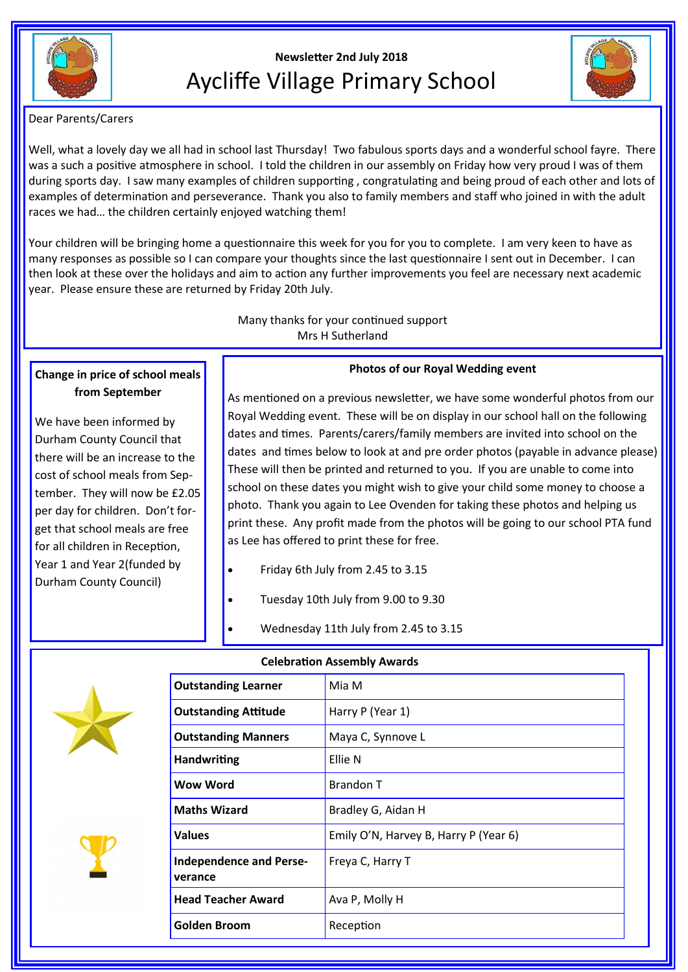

# **Newsletter 2nd July 2018** Aycliffe Village Primary School



Dear Parents/Carers

Well, what a lovely day we all had in school last Thursday! Two fabulous sports days and a wonderful school fayre. There was a such a positive atmosphere in school. I told the children in our assembly on Friday how very proud I was of them during sports day. I saw many examples of children supporting , congratulating and being proud of each other and lots of examples of determination and perseverance. Thank you also to family members and staff who joined in with the adult races we had… the children certainly enjoyed watching them!

Your children will be bringing home a questionnaire this week for you for you to complete. I am very keen to have as many responses as possible so I can compare your thoughts since the last questionnaire I sent out in December. I can then look at these over the holidays and aim to action any further improvements you feel are necessary next academic year. Please ensure these are returned by Friday 20th July.

> Many thanks for your continued support Mrs H Sutherland

# **Change in price of school meals from September**

We have been informed by Durham County Council that there will be an increase to the cost of school meals from September. They will now be £2.05 per day for children. Don't forget that school meals are free for all children in Reception, Year 1 and Year 2(funded by Durham County Council)

**Photos of our Royal Wedding event**

As mentioned on a previous newsletter, we have some wonderful photos from our Royal Wedding event. These will be on display in our school hall on the following dates and times. Parents/carers/family members are invited into school on the dates and times below to look at and pre order photos (payable in advance please) These will then be printed and returned to you. If you are unable to come into school on these dates you might wish to give your child some money to choose a photo. Thank you again to Lee Ovenden for taking these photos and helping us print these. Any profit made from the photos will be going to our school PTA fund as Lee has offered to print these for free.

- Friday 6th July from 2.45 to 3.15
- Tuesday 10th July from 9.00 to 9.30
	- Wednesday 11th July from 2.45 to 3.15





| Celebration Assembly Awards               |                                       |
|-------------------------------------------|---------------------------------------|
| <b>Outstanding Learner</b>                | Mia M                                 |
| <b>Outstanding Attitude</b>               | Harry P (Year 1)                      |
| <b>Outstanding Manners</b>                | Maya C, Synnove L                     |
| <b>Handwriting</b>                        | Ellie N                               |
| Wow Word                                  | <b>Brandon T</b>                      |
| <b>Maths Wizard</b>                       | Bradley G, Aidan H                    |
| <b>Values</b>                             | Emily O'N, Harvey B, Harry P (Year 6) |
| <b>Independence and Perse-</b><br>verance | Freya C, Harry T                      |
| <b>Head Teacher Award</b>                 | Ava P, Molly H                        |
| Golden Broom                              | Reception                             |
|                                           |                                       |

## **Celebration Assembly Awards**